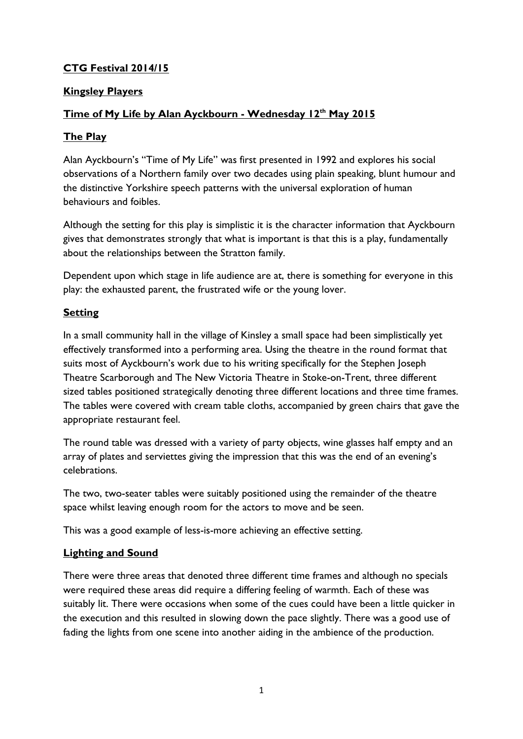### **CTG Festival 2014/15**

### **Kingsley Players**

### **Time of My Life by Alan Ayckbourn - Wednesday 12th May 2015**

### **The Play**

Alan Ayckbourn's "Time of My Life" was first presented in 1992 and explores his social observations of a Northern family over two decades using plain speaking, blunt humour and the distinctive Yorkshire speech patterns with the universal exploration of human behaviours and foibles.

Although the setting for this play is simplistic it is the character information that Ayckbourn gives that demonstrates strongly that what is important is that this is a play, fundamentally about the relationships between the Stratton family.

Dependent upon which stage in life audience are at, there is something for everyone in this play: the exhausted parent, the frustrated wife or the young lover.

#### **Setting**

In a small community hall in the village of Kinsley a small space had been simplistically yet effectively transformed into a performing area. Using the theatre in the round format that suits most of Ayckbourn's work due to his writing specifically for the Stephen Joseph Theatre Scarborough and The New Victoria Theatre in Stoke-on-Trent, three different sized tables positioned strategically denoting three different locations and three time frames. The tables were covered with cream table cloths, accompanied by green chairs that gave the appropriate restaurant feel.

The round table was dressed with a variety of party objects, wine glasses half empty and an array of plates and serviettes giving the impression that this was the end of an evening's celebrations.

The two, two-seater tables were suitably positioned using the remainder of the theatre space whilst leaving enough room for the actors to move and be seen.

This was a good example of less-is-more achieving an effective setting.

### **Lighting and Sound**

There were three areas that denoted three different time frames and although no specials were required these areas did require a differing feeling of warmth. Each of these was suitably lit. There were occasions when some of the cues could have been a little quicker in the execution and this resulted in slowing down the pace slightly. There was a good use of fading the lights from one scene into another aiding in the ambience of the production.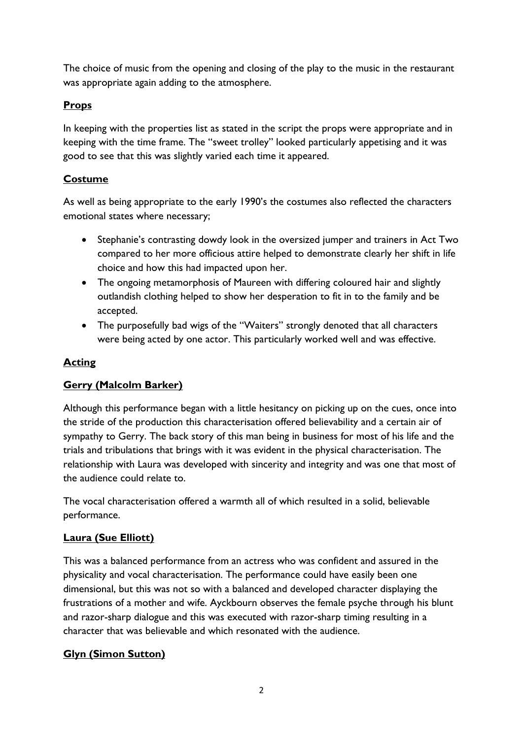The choice of music from the opening and closing of the play to the music in the restaurant was appropriate again adding to the atmosphere.

## **Props**

In keeping with the properties list as stated in the script the props were appropriate and in keeping with the time frame. The "sweet trolley" looked particularly appetising and it was good to see that this was slightly varied each time it appeared.

# **Costume**

As well as being appropriate to the early 1990's the costumes also reflected the characters emotional states where necessary;

- Stephanie's contrasting dowdy look in the oversized jumper and trainers in Act Two compared to her more officious attire helped to demonstrate clearly her shift in life choice and how this had impacted upon her.
- The ongoing metamorphosis of Maureen with differing coloured hair and slightly outlandish clothing helped to show her desperation to fit in to the family and be accepted.
- The purposefully bad wigs of the "Waiters" strongly denoted that all characters were being acted by one actor. This particularly worked well and was effective.

## **Acting**

# **Gerry (Malcolm Barker)**

Although this performance began with a little hesitancy on picking up on the cues, once into the stride of the production this characterisation offered believability and a certain air of sympathy to Gerry. The back story of this man being in business for most of his life and the trials and tribulations that brings with it was evident in the physical characterisation. The relationship with Laura was developed with sincerity and integrity and was one that most of the audience could relate to.

The vocal characterisation offered a warmth all of which resulted in a solid, believable performance.

# **Laura (Sue Elliott)**

This was a balanced performance from an actress who was confident and assured in the physicality and vocal characterisation. The performance could have easily been one dimensional, but this was not so with a balanced and developed character displaying the frustrations of a mother and wife. Ayckbourn observes the female psyche through his blunt and razor-sharp dialogue and this was executed with razor-sharp timing resulting in a character that was believable and which resonated with the audience.

# **Glyn (Simon Sutton)**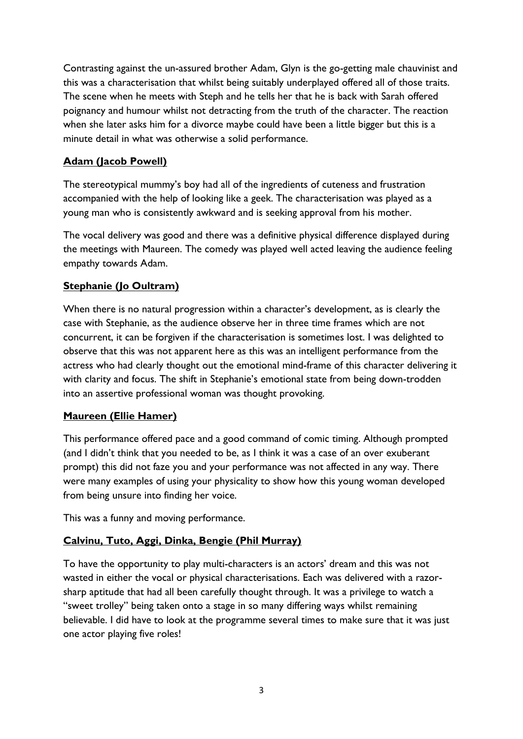Contrasting against the un-assured brother Adam, Glyn is the go-getting male chauvinist and this was a characterisation that whilst being suitably underplayed offered all of those traits. The scene when he meets with Steph and he tells her that he is back with Sarah offered poignancy and humour whilst not detracting from the truth of the character. The reaction when she later asks him for a divorce maybe could have been a little bigger but this is a minute detail in what was otherwise a solid performance.

### **Adam (Jacob Powell)**

The stereotypical mummy's boy had all of the ingredients of cuteness and frustration accompanied with the help of looking like a geek. The characterisation was played as a young man who is consistently awkward and is seeking approval from his mother.

The vocal delivery was good and there was a definitive physical difference displayed during the meetings with Maureen. The comedy was played well acted leaving the audience feeling empathy towards Adam.

### **Stephanie (Jo Oultram)**

When there is no natural progression within a character's development, as is clearly the case with Stephanie, as the audience observe her in three time frames which are not concurrent, it can be forgiven if the characterisation is sometimes lost. I was delighted to observe that this was not apparent here as this was an intelligent performance from the actress who had clearly thought out the emotional mind-frame of this character delivering it with clarity and focus. The shift in Stephanie's emotional state from being down-trodden into an assertive professional woman was thought provoking.

### **Maureen (Ellie Hamer)**

This performance offered pace and a good command of comic timing. Although prompted (and I didn't think that you needed to be, as I think it was a case of an over exuberant prompt) this did not faze you and your performance was not affected in any way. There were many examples of using your physicality to show how this young woman developed from being unsure into finding her voice.

This was a funny and moving performance.

### **Calvinu, Tuto, Aggi, Dinka, Bengie (Phil Murray)**

To have the opportunity to play multi-characters is an actors' dream and this was not wasted in either the vocal or physical characterisations. Each was delivered with a razorsharp aptitude that had all been carefully thought through. It was a privilege to watch a "sweet trolley" being taken onto a stage in so many differing ways whilst remaining believable. I did have to look at the programme several times to make sure that it was just one actor playing five roles!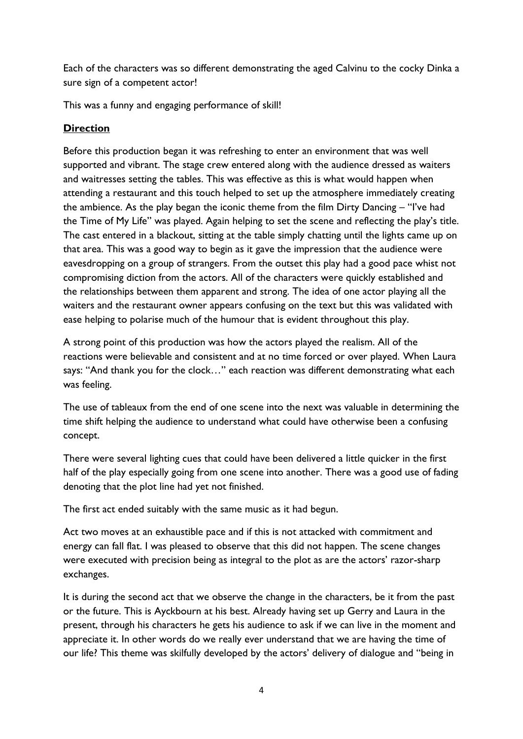Each of the characters was so different demonstrating the aged Calvinu to the cocky Dinka a sure sign of a competent actor!

This was a funny and engaging performance of skill!

### **Direction**

Before this production began it was refreshing to enter an environment that was well supported and vibrant. The stage crew entered along with the audience dressed as waiters and waitresses setting the tables. This was effective as this is what would happen when attending a restaurant and this touch helped to set up the atmosphere immediately creating the ambience. As the play began the iconic theme from the film Dirty Dancing – "I've had the Time of My Life" was played. Again helping to set the scene and reflecting the play's title. The cast entered in a blackout, sitting at the table simply chatting until the lights came up on that area. This was a good way to begin as it gave the impression that the audience were eavesdropping on a group of strangers. From the outset this play had a good pace whist not compromising diction from the actors. All of the characters were quickly established and the relationships between them apparent and strong. The idea of one actor playing all the waiters and the restaurant owner appears confusing on the text but this was validated with ease helping to polarise much of the humour that is evident throughout this play.

A strong point of this production was how the actors played the realism. All of the reactions were believable and consistent and at no time forced or over played. When Laura says: "And thank you for the clock…" each reaction was different demonstrating what each was feeling.

The use of tableaux from the end of one scene into the next was valuable in determining the time shift helping the audience to understand what could have otherwise been a confusing concept.

There were several lighting cues that could have been delivered a little quicker in the first half of the play especially going from one scene into another. There was a good use of fading denoting that the plot line had yet not finished.

The first act ended suitably with the same music as it had begun.

Act two moves at an exhaustible pace and if this is not attacked with commitment and energy can fall flat. I was pleased to observe that this did not happen. The scene changes were executed with precision being as integral to the plot as are the actors' razor-sharp exchanges.

It is during the second act that we observe the change in the characters, be it from the past or the future. This is Ayckbourn at his best. Already having set up Gerry and Laura in the present, through his characters he gets his audience to ask if we can live in the moment and appreciate it. In other words do we really ever understand that we are having the time of our life? This theme was skilfully developed by the actors' delivery of dialogue and "being in